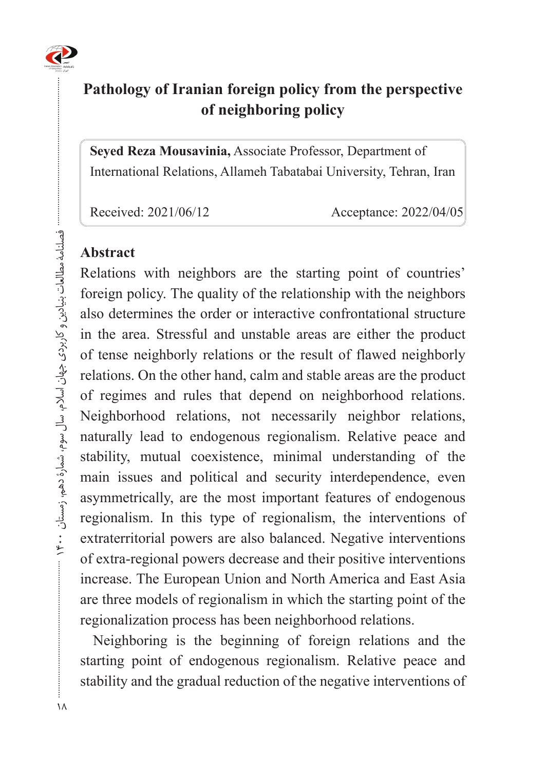

# **Pathology of Iranian foreign policy from the perspective** of neighboring policy

**Seyed Reza Mousavinia, Associate Professor, Department of** International Relations, Allameh Tabatabai University, Tehran, Iran

Received: 2021/06/12 Acceptance: 2022/04/05

## **Abstract**

Relations with neighbors are the starting point of countries' foreign policy. The quality of the relationship with the neighbors also determines the order or interactive confrontational structure in the area. Stressful and unstable areas are either the product of tense neighborly relations or the result of flawed neighborly relations. On the other hand, calm and stable areas are the product of regimes and rules that depend on neighborhood relations. Neighborhood relations, not necessarily neighbor relations, naturally lead to endogenous regionalism. Relative peace and stability, mutual coexistence, minimal understanding of the main issues and political and security interdependence, even asymmetrically, are the most important features of endogenous regionalism. In this type of regionalism, the interventions of extraterritorial powers are also balanced. Negative interventions of extra-regional powers decrease and their positive interventions increase. The European Union and North America and East Asia are three models of regionalism in which the starting point of the regionalization process has been neighborhood relations.

Neighboring is the beginning of foreign relations and the starting point of endogenous regionalism. Relative peace and stability and the gradual reduction of the negative interventions of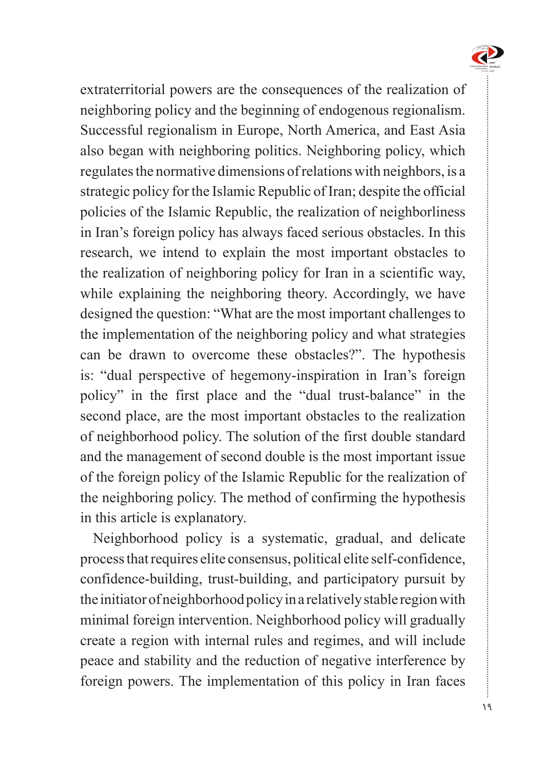

extraterritorial powers are the consequences of the realization of neighboring policy and the beginning of endogenous regionalism. Successful regionalism in Europe, North America, and East Asia also began with neighboring politics. Neighboring policy, which regulates the normative dimensions of relations with neighbors, is a strategic policy for the Islamic Republic of Iran; despite the official policies of the Islamic Republic, the realization of neighborliness in Iran's foreign policy has always faced serious obstacles. In this research, we intend to explain the most important obstacles to the realization of neighboring policy for Iran in a scientific way, while explaining the neighboring theory. Accordingly, we have designed the question: "What are the most important challenges to the implementation of the neighboring policy and what strategies can be drawn to overcome these obstacles?". The hypothesis is: "dual perspective of hegemony-inspiration in Iran's foreign policy" in the first place and the "dual trust-balance" in the second place, are the most important obstacles to the realization of neighborhood policy. The solution of the first double standard and the management of second double is the most important issue of the foreign policy of the Islamic Republic for the realization of the neighboring policy. The method of confirming the hypothesis in this article is explanatory.

Neighborhood policy is a systematic, gradual, and delicate process that requires elite consensus, political elite self-confidence, confidence-building, trust-building, and participatory pursuit by the initiator of neighborhood policy in a relatively stable region with minimal foreign intervention. Neighborhood policy will gradually create a region with internal rules and regimes, and will include peace and stability and the reduction of negative interference by foreign powers. The implementation of this policy in Iran faces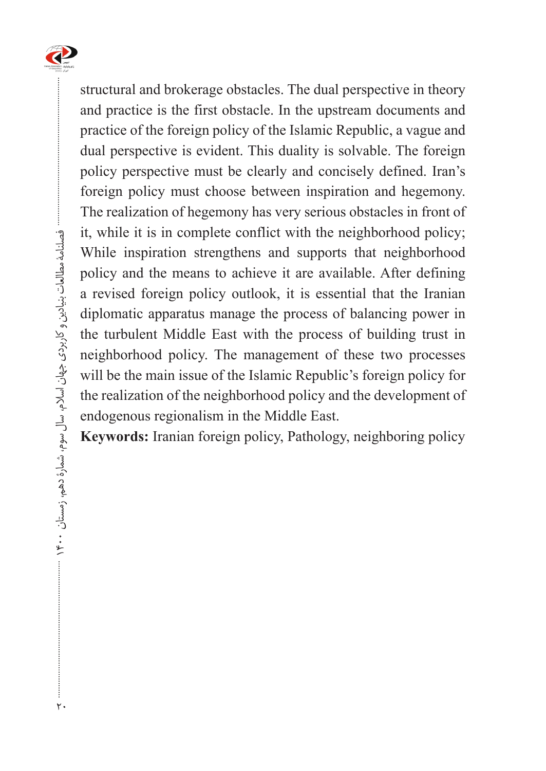

structural and brokerage obstacles. The dual perspective in theory and practice is the first obstacle. In the upstream documents and practice of the foreign policy of the Islamic Republic, a vague and dual perspective is evident. This duality is solvable. The foreign policy perspective must be clearly and concisely defined. Iran's foreign policy must choose between inspiration and hegemony. The realization of hegemony has very serious obstacles in front of it, while it is in complete conflict with the neighborhood policy; While inspiration strengthens and supports that neighborhood policy and the means to achieve it are available. After defining a revised foreign policy outlook, it is essential that the Iranian diplomatic apparatus manage the process of balancing power in the turbulent Middle East with the process of building trust in neighborhood policy. The management of these two processes will be the main issue of the Islamic Republic's foreign policy for the realization of the neighborhood policy and the development of endogenous regionalism in the Middle East.

**Keywords:** Iranian foreign policy, Pathology, neighboring policy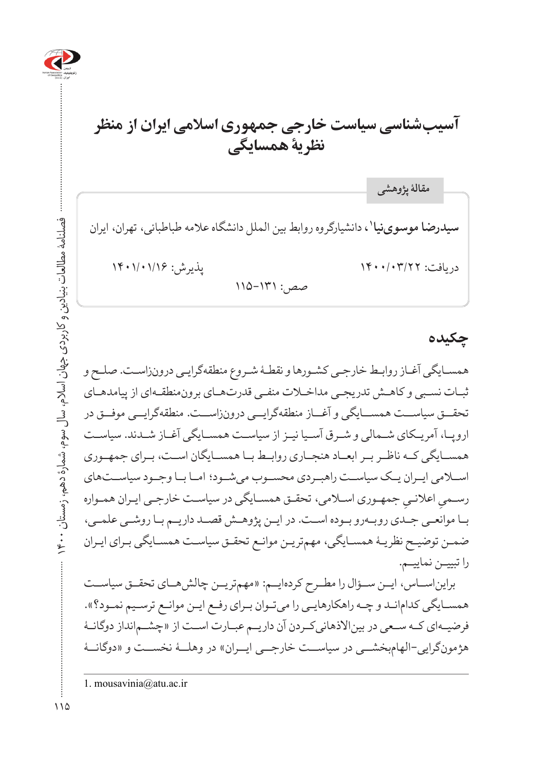

# **آسیبشناسی سیاست خارجی جمهوری اسالمی ایران از منظر نظریۀ همسایگی**

**سیدرضا موسوینیا'،** دانشیارگروه روابط بین الملل دانشگاه علامه طباطبائی، تهران، ایران دریافت: 1400/03/22 پذیرش: 1401/01/16  $110 - 111$ : حبص **مقالۀ پژوهشی**

#### **چکیده**

همسـایگی آغـاز روابـط خارجـی کشـورها و نقطـۀ شـروع منطقهگرایـی درونزاسـت. صلـح و ثبـات نسـبی و کاهـش تدریجـی مداخـات منفـی قدرتهـای برونمنطقـهای از پیامدهـای تحقــق سیاســت همســایگی و آغــاز منطقهگرایــی درونزاســت. منطقهگرایــی موفــق در اروپـا، آمریـکای شـمالی و شـرق آسـیا نیـز از سیاسـت همسـایگی آغـاز شـدند. سیاسـت همســایگی کــه ناظــر بــر ابعــاد هنجــاری روابــط بــا همســایگان اســت، بــرای جمهــوری اســامی ایــران یــک سیاســت راهبــردی محســوب میشــود؛ امــا بــا وجــود سیاســتهای رسـميِ اعلانـيِ جمهـوري اســلامي، تحقـق همســايگي در سياســت خارجـي ايـران همـواره<br>. بـا موانعـی جـدی روبـهرو بـوده اسـت. در ایـن پژوهـش قصـد داریـم بـا روشـی علمـی، ضمـن توضیـح نظریـۀ همسـایگی، مهمتریـن موانـع تحقـق سیاسـت همسـایگی بـرای ایـران را تبییـن نماییـم.

برایناســاس، ایــن ســؤال را مطــرح کردهایــم: »مهمتریــن چالشهــای تحقــق سیاســت همسـایگی کدامانـد و چـه راهکارهایـی را میتـوان بـرای رفـع ایـن موانـع ترسـیم نمـود؟«. فرضیــهای کــه ســعی در بیناالذهانیکــردن آن داریــم عبــارت اســت از »چشــمانداز دوگانــۀ هژمونگرایی-الهامبخشـــی در سیاســت خارجـــی ایـــران» در وهلــۀ نخســت و «دوگانــۀ

<sup>1.</sup> mousavinia@atu.ac.ir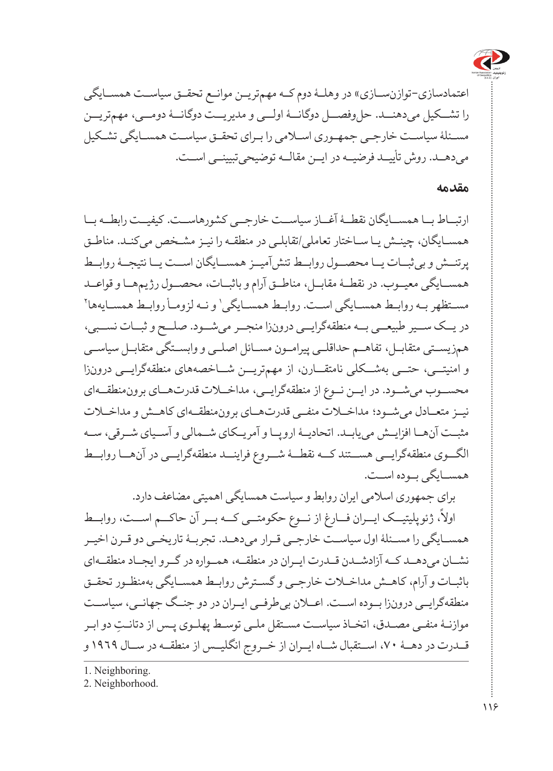

اعتمادسازی-توازنســازی» در وهلــۀ دوم کــه مهمتریــن موانــع تحقــق سیاســت همســایگی را تشــکیل میدهنــد. حلوفصــل دوگانــۀ اولــی و مدیریــت دوگانــۀ دومــی، مهمتریــن مسـئلۀ سیاسـت خارجـی جمهـوری اسـامی را بـرای تحقـق سیاسـت همسـایگی تشـکیل میدهــد. روش تأییــد فرضیــه در ایــن مقالــه توضیحیتبیینــی اســت.

#### **مقدمه**

ارتبــاط بــا همســایگان نقطــۀ آغــاز سیاســت خارجــی کشورهاســت. کیفیــت رابطــه بــا همسـایگان، چینـش یـا سـاختار تعاملی/تقابلـی در منطقـه را نیـز مشـخص میکنـد. مناطـق پرتنــش و بیثبــات یــا محصــول روابــط تنشآمیــز همســایگان اســت یــا نتیجــۀ روابــط همســایگی معیــوب. در نقطــۀ مقابــل، مناطــق آرام و باثبــات، محصــول رژیمهــا و قواعــد مسـتظهر بـه روابـط همسـایگی اسـت. روابـط همسـایگی' و نـه لزومـأ روابـط همسـایهها ٌ در یــک ســیر طبیعــی بــه منطقهگرایــی درونزا منجــر میشــود. صلــح و ثبــات نســبی، همزیســتی متقابــل، تفاهــم حداقلــی پیرامــون مســائل اصلــی و وابســتگی متقابــل سیاســی و امنیتــی، حتــی بهشــکلی نامتقــارن، از مهمتریــن شــاخصههای منطقهگرایــی درونزا محســوب میشــود. در ایــن نــوع از منطقهگرایــی، مداخــات قدرتهــای برونمنطقــهای نیــز متعــادل میشــود؛ مداخــات منفــی قدرتهــای برونمنطقــهای کاهــش و مداخــات مثبــت آنهــا افزایــش مییابــد. اتحادیــۀ اروپــا و آمریــکای شــمالی و آســیای شــرقی، ســه الگــوی منطقهگرایــی هســتند کــه نقطــۀ شــروع فراینــد منطقهگرایــی در آنهــا روابــط همســایگی بــوده اســت.

برای جمهوری اسالمی ایران روابط و سیاست همسایگی اهمیتی مضاعف دارد. .ژ ت : مورد<br>اولاً، ژئوپلیتیــک ایـــران فـــارغ از نـــوع حکومتـــی کـــه بـــر آن حاکـــم اســـت، روابــط همســایگی را مســئلۀ اول سیاســت خارجــی قــرار میدهــد. تجربــۀ تاریخــی دو قــرن اخیــر نشــان میدهــد کــه آزادشــدن قــدرت ایــران در منطقــه، همــواره در گــرو ایجــاد منطقــهای باثبـات و آرام، کاهـش مداخـات خارجـی و گسـترش روابـط همسـایگی بهمنظـور تحقـق منطقهگرایــی درونزا بــوده اســت. اعــان بیطرفــی ایــران در دو جنــگ جهانــی، سیاســت ِ موازنـۀ منفـی مصـدق، اتخـاذ سیاسـت مسـتقل ملـی توسـط پهلـوی پـس از دتانـت دو ابـر قــدرت در دهــۀ ،70 اســتقبال شــاه ایــران از خــروج انگلیــس از منطقــه در ســال 1969 و

1. Neighboring.

2. Neighborhood.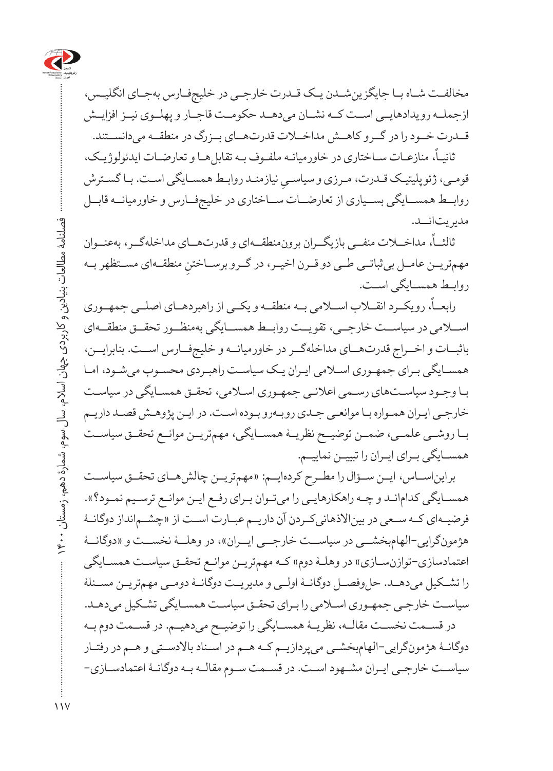

مخالفـت شـاه بـا جایگزینشـدن یـک قـدرت خارجـی در خلیجفـارس بهجـای انگلیـس، ازجملــه رویدادهایــی اســت کــه نشــان میدهــد حکومــت قاجــار و پهلــوی نیــز افزایــش قــدرت خــود را در گــرو کاهــش مداخــات قدرتهــای بــزرگ در منطقــه میدانســتند.

،ً منازعـات سـاختاری در خاورمیانـه ملفـوف بـه تقابلهـا و تعارضـات ایدئولوژیـک، ثانیـا قومـی، ژئوپليتيـک قــدرت، مــرزی و سياســي نيازمنــد روابــط همســايگـی اســت. بــا گســترش<br>. روابــط همســایگی بســیاری از تعارضــات ســاختاری در خلیجفــارس و خاورمیانــه قابــل مدیریتانــد.

،ً مداخــات منفــی بازیگــران برونمنطقــهای و قدرتهــای مداخلهگــر، بهعنــوان ثالثــا مهمتریــن عامــل بی ثباتــی طــی دو قــرن اخیــر، در گــرو برســاختنِ منطقــهای مســتظهر بــه<br>مسموّلی استانی روابـط همسـایگی اسـت.

.<br>رابعــاً، رویکــرد انقـــلاب اســـلامی بــه منطقــه و یکــی از راهبردهــای اصلــی جمهــوری اســامی در سیاســت خارجــی، تقویــت روابــط همســایگی بهمنظــور تحقــق منطقــهای باثبــات و اخــراج قدرتهــای مداخلهگــر در خاورمیانــه و خلیجفــارس اســت. بنابرایــن، همسـایگی بـرای جمهـوری اسـامی ایـران یـک سیاسـت راهبـردی محسـوب میشـود، امـا بـا وجـود سیاسـتهای رسـمی اعالنـی جمهـوری اسـامی، تحقـق همسـایگی در سیاسـت خارجـی ایـران همـواره بـا موانعـی جـدی روبـهرو بـوده اسـت. در ایـن پژوهـش قصـد داریـم بــا روشــی علمــی، ضمــن توضیــح نظریــۀ همســایگی، مهمتریــن موانــع تحقــق سیاســت همسـایگی بـرای ایـران را تبییـن نماییـم.

برایناســاس، ایــن ســؤال را مطــرح کردهایــم: »مهمتریــن چالشهــای تحقــق سیاســت همسـایگی کدامانـد و چـه راهکارهایـی را میتـوان بـرای رفـع ایـن موانـع ترسـیم نمـود؟«. فرضیــهای کــه ســعی در بیناالذهانیکــردن آن داریــم عبــارت اســت از »چشــمانداز دوگانــۀ هژمونگرایی-الهامبخشــی در سیاســت خارجــی ایــران»، در وهلــۀ نخســت و «دوگانــۀ اعتمادسازی-توازنسـازی» در وهلـۀ دوم» کـه مهمتریـن موانـع تحقـق سیاسـت همسـایگی را تشــکیل میدهــد. حلوفصــل دوگانــۀ اولــی و مدیریــت دوگانــۀ دومــی مهمتریــن مســئلۀ سیاسـت خارجـی جمهـوری اسـامی را بـرای تحقـق سیاسـت همسـایگی تشـکیل میدهـد. در قســمت نخســت مقالــه، نظریــۀ همســایگی را توضیــح میدهیــم. در قســمت دوم بــه دوگانـۀ هژمونگرایی-الهامبخشـی میپردازیـم کـه هـم در اسـناد باالدسـتی و هـم در رفتـار

سیاسـت خارجـی ایـران مشـهود اسـت. در قسـمت سـوم مقالـه بـه دوگانـۀ اعتمادسـازی-

 فصلنامۀ مطالعات بنیادین و کاربردی جهان اسالم، سال سوم، شمارۀ دهم، زمستان 1400 فصلنامهٔ مطالعات بنیادین و کاربردی جهان اسلام، سال سوم، شمارهٔ دهم، زمستان ۱۴۰۰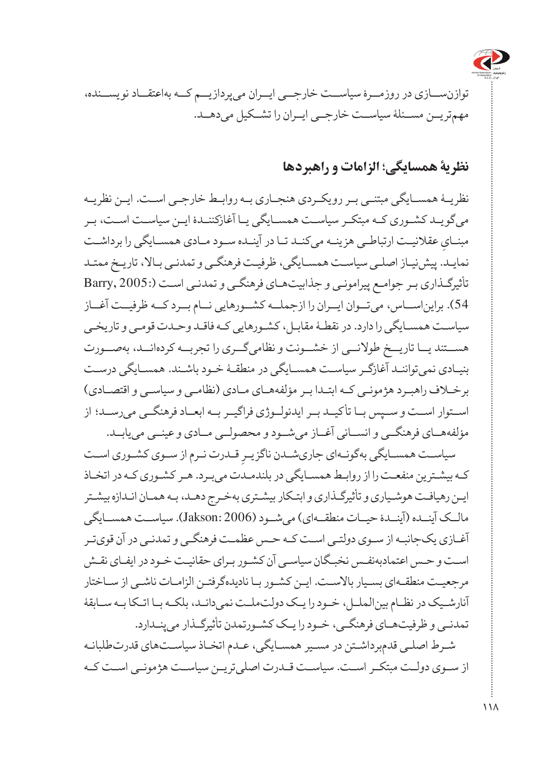

توازنســازی در روزمــرۀ سیاســت خارجــی ایــران میپردازیــم کــه بهاعتقــاد نویســنده، مهمتریــن مســئلۀ سیاســت خارجــی ایــران را تشــکیل میدهــد.

#### **نظریۀ همسایگی؛ الزامات و راهبردها**

نظریــۀ همســایگی مبتنــی بــر رویکــردی هنجــاری بــه روابــط خارجــی اســت. ایــن نظریــه میگویـد کشـوری کـه مبتکـر سیاسـت همسـایگی یـا آغازکننـدۀ ایـن سیاسـت اسـت، بـر مبنـایِ عقلانیـت ارتباطـی هزینــه میکنــد تــا در آینــده ســود مــادی همســایگی را برداشــت<br>. نمایـد. پیشنیـاز اصلـی سیاسـت همسـایگی، ظرفیـت فرهنگـی و تمدنـی بـاال، تاریـخ ممتـد تأثیرگـذاری بـر جوامـع پیرامونـی و جذابیتهـای فرهنگـی و تمدنـی اسـت )2005: ,Barry 54(. برایناســاس، میتــوان ایــران را ازجملــه کشــورهایی نــام بــرد کــه ظرفیــت آغــاز سیاسـت همسـایگی را دارد. در نقطـۀ مقابـل، کشـورهایی کـه فاقـد وحـدت قومـی و تاریخـی هســتند یــا تاریــخ طوالنــی از خشــونت و نظامیگــری را تجربــه کردهانــد، بهصــورت بنیـادی نمیتواننـد آغازگـر سیاسـت همسـایگی در منطقـۀ خـود باشـند. همسـایگی درسـت برخـاف راهبـرد هژمونـی کـه ابتـدا بـر مؤلفههـای مـادی )نظامـی و سیاسـی و اقتصـادی( اســتوار اســت و ســپس بــا تأکیــد بــر ایدئولــوژی فراگیــر بــه ابعــاد فرهنگــی میرســد؛ از مؤلفههــای فرهنگــی و انســانی آغــاز میشــود و محصولــی مــادی و عینــی مییابــد.

سیاسـت همســایگی بهگونــهای جاریشــدن ناگزیـرِ قــدرت نـرم از ســوی کشــوری اســت<br>. کـه بیشـترین منفعـت را از روابـط همسـایگی در بلندمـدت میبـرد. هـر کشـوری کـه در اتخـاذ ایـن رهیافـت هوشـیاری و تأثیرگـذاری و ابتـکار بیشـتری بهخـرج دهـد، بـه همـان انـدازه بیشـتر مالــک آینــده )آینــدۀ حیــات منطقــهای( میشــود )2006 :Jakson). سیاســت همســایگی آغـازی یکجانبـه از سـوی دولتـی اسـت کـه حـس عظمـت فرهنگـی و تمدنـی در آن قویتـر اسـت و حـس اعتمادبهنفـس نخبـگان سیاسـی آن کشـور بـرای حقانیـت خـود در ایفـای نقـش مرجعیـت منطقـهای بسـیار باالسـت. ایـن کشـور بـا نادیدهگرفتـن الزامـات ناشـی از سـاختار آنارشـیک در نظـام بینالملـل، خـود را یـک دولتملـت نمیدانـد، بلکـه بـا اتـکا بـه سـابقۀ تمدنـی و ظرفیتهـای فرهنگـی، خـود را یـک کشـورتمدن تأثیرگـذار میپنـدارد. شـرط اصلـی قدمبرداشـتن در مسـیر همسـایگی، عـدم اتخـاذ سیاسـتهای قدرتطلبانـه از ســوی دولــت مبتکــر اســت. سیاســت قــدرت اصلیتریــن سیاســت هژمونــی اســت کــه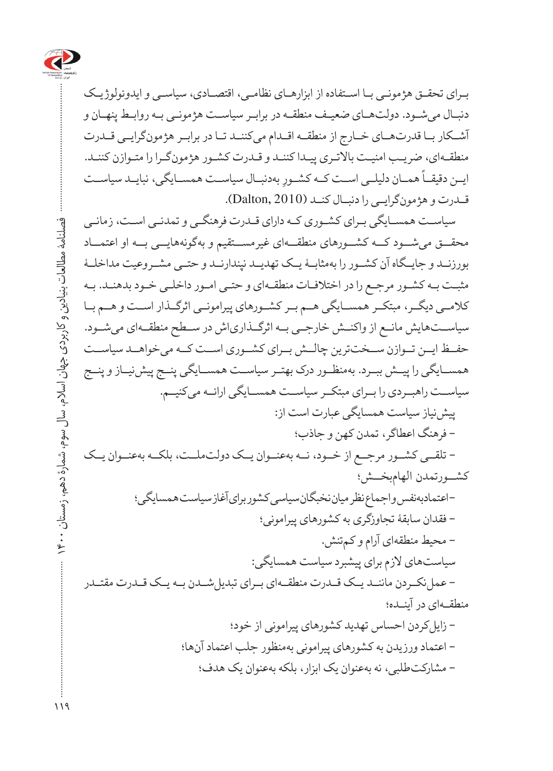

بـرای تحقـق هژمونـی بـا اسـتفاده از ابزارهـای نظامـی، اقتصـادی، سیاسـی و ایدوئولوژیـک دنبـال میشـود. دولتهـای ضعیـف منطقـه در برابـر سیاسـت هژمونـی بـه روابـط پنهـان و آشــکار بــا قدرتهــای خــارج از منطقــه اقــدام میکننــد تــا در برابــر هژمونگرایــی قــدرت منطقـهای، ضریـب امنیـت باالتـری پیـدا کننـد و قـدرت کشـور هژمونگـرا را متـوازن کننـد. ۔<br>ایــن دقیقــاً همــان دلیلــی اســت کــه کشــورِ بهدنبــال سیاســت همســایگی، نبایــد سیاســت قــدرت و هژمونگرایــی را دنبــال کنــد )2010 ,Dalton).

سیاسـت همسـایگی بـرای کشـوری کـه دارای قـدرت فرهنگـی و تمدنـی اسـت، زمانـی محقــق میشــود کــه کشــورهای منطقــهای غیرمســتقیم و بهگونههایــی بــه او اعتمــاد بورزنــد و جایــگاه آن کشــور را بهمثابــۀ یــک تهدیــد نپندارنــد و حتــی مشــروعیت مداخلــۀ مثبـت بـه کشـور مرجـع را در اختالفـات منطقـهای و حتـی امـور داخلـی خـود بدهنـد. بـه کالمــی دیگــر، مبتکــر همســایگی هــم بــر کشــورهای پیرامونــی اثرگــذار اســت و هــم بــا سیاســتهایش مانــع از واکنــش خارجــی بــه اثرگــذاریاش در ســطح منطقــهای میشــود. حفــظ ایــن تــوازن ســختترین چالــش بــرای کشــوری اســت کــه میخواهــد سیاســت همســایگی را پیــش ببــرد. بهمنظــور درک بهتــر سیاســت همســایگی پنــج پیشنیــاز و پنــج سیاســت راهبــردی را بــرای مبتکــر سیاســت همســایگی ارائــه میکنیــم. پیشنیاز سیاست همسایگی عبارت است از: - فرهنگ اعطاگر، تمدن کهن و جاذب؛ - تلقــی کشــور مرجــع از خــود، نــه بهعنــوان یــک دولتملــت، بلکــه بهعنــوان یــک کشــورتمدن الهامبخــش؛ - اعتمادبهنفس و اجماع نظر میان نخبگان سیاسی کشور برای آغاز سیاست همسایگی؛ - فقدان سابقۀ تجاوزگری به کشورهای پیرامونی؛ - محیط منطقهای آرام و کمتنش. سیاستهای الزم برای پیشبرد سیاست همسایگی: - عملنکــردن ماننــد یــک قــدرت منطقــهای بــرای تبدیلشــدن بــه یــک قــدرت مقتــدر منطقـهای در آینـده؛ - زایلکردن احساس تهدید کشورهای پیرامونی از خود؛ - اعتماد ورزیدن به کشورهای پیرامونی بهمنظور جلب اعتماد آنها؛ - مشارکتطلبی، نه بهعنوان یک ابزار، بلکه بهعنوان یک هدف؛

فصلنامۀ مطالعات بنیادین و کاربردی جهان اسالم، سال سوم، شمارۀ دهم، زمستان 1400

فصلنامهٔ مطالعات بنیادین و کاربردی جهان اسلام، سال سوم، شمارهٔ دهم، زمستان ۰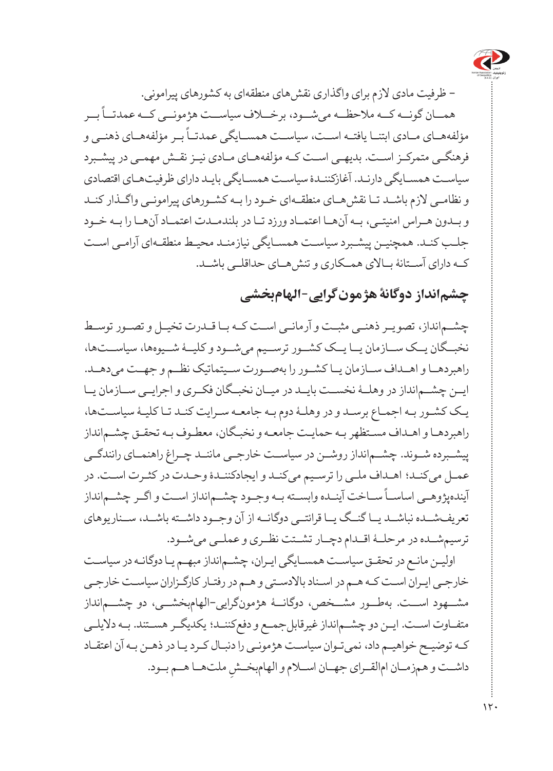

- ظرفیت مادی الزم برای واگذاری نقشهای منطقهای به کشورهای پیرامونی. ۔ ۔<br>همــان گونــه کــه ملاحظــه میشــود، برخـــلاف سیاســت هژمونــی کــه عمدتـــاً بــر ً بــر مؤلفههــای ذهنــی و مؤلفههــای مــادی ابتنــا یافتــه اســت، سیاســت همســایگی عمدتــا فرهنگـی متمرکـز اسـت. بدیهـی اسـت کـه مؤلفههـای مـادی نیـز نقـش مهمـی در پیشـبرد سیاسـت همسـایگی دارنـد. آغازکننـدۀ سیاسـت همسـایگی بایـد دارای ظرفیتهـای اقتصادی و نظامـی الزم باشـد تـا نقشهـای منطقـهای خـود را بـه کشـورهای پیرامونـی واگـذار کنـد و بــدون هــراس امنیتــی، بــه آنهــا اعتمــاد ورزد تــا در بلندمــدت اعتمــاد آنهــا را بــه خــود جلـب کنـد. همچنیـن پیشـبرد سیاسـت همسـایگی نیازمنـد محیـط منطقـهای آرامـی اسـت کــه دارای آســتانۀ بــاالی همــکاری و تنشهــای حداقلــی باشــد.

## **چشمانداز دوگانۀ هژمونگرایی-الهامبخشی**

چشــمانداز، تصویــر ذهنــی مثبــت و آرمانــی اســت کــه بــا قــدرت تخیــل و تصــور توســط نخبــگان یــک ســازمان یــا یــک کشــور ترســیم میشــود و کلیــۀ شــیوهها، سیاســتها، راهبردهــا و اهــداف ســازمان یــا کشــور را بهصــورت ســیتماتیک نظــم و جهــت میدهــد. ایــن چشــمانداز در وهلــۀ نخســت بایــد در میــان نخبــگان فکــری و اجرایــی ســازمان یــا یـک کشـور بـه اجمـاع برسـد و در وهلـۀ دوم بـه جامعـه سـرایت کنـد تـا کلیـۀ سیاسـتها، راهبردهـا و اهـداف مسـتظهر بـه حمایـت جامعـه و نخبـگان، معطـوف بـه تحقـق چشـمانداز پیشــبرده شــوند. چشــمانداز روشــن در سیاســت خارجــی ماننــد چــراغ راهنمــای رانندگــی عمـل میکنـد؛ اهـداف ملـی را ترسـیم میکنـد و ایجادکننـدۀ وحـدت در کثـرت اسـت. در ۔ ۔<br>آیندهپژوهــی اساســاً ســاخت آینــده وابســته بــه وجــود چشــم|نداز اســت و اگــر چشـــم|نداز تعریفشــده نباشــد یــا گنــگ یــا قرائتــی دوگانــه از آن وجــود داشــته باشــد، ســناریوهای ترسیمشــده در مرحلــۀ اقــدام دچــار تشــتت نظــری و عملــی میشــود.

اولیـن مانـع در تحقـق سیاسـت همسـایگی ایـران، چشـمانداز مبهـم یـا دوگانـه در سیاسـت خارجـی ایـران اسـت کـه هـم در اسـناد باالدسـتی و هـم در رفتـار کارگـزاران سیاسـت خارجـی مشــهود اســت. بهطــور مشــخص، دوگانــۀ هژمونگرایی-الهامبخشــی، دو چشــمانداز متفـاوت اسـت. ایـن دو چشـمانداز غیرقابلجمـع و دفعکننـد؛ یکدیگـر هسـتند. بـه دالیلـی کـه توضیـح خواهیـم داد، نمیتـوان سیاسـت هژمونـی را دنبـال کـرد یـا در ذهـن بـه آن اعتقـاد داشــت و هـمزمــان ام|لقــراي جهــان اســلام و الهامېخــشِ ملتـهــا هــم بــود.<br>-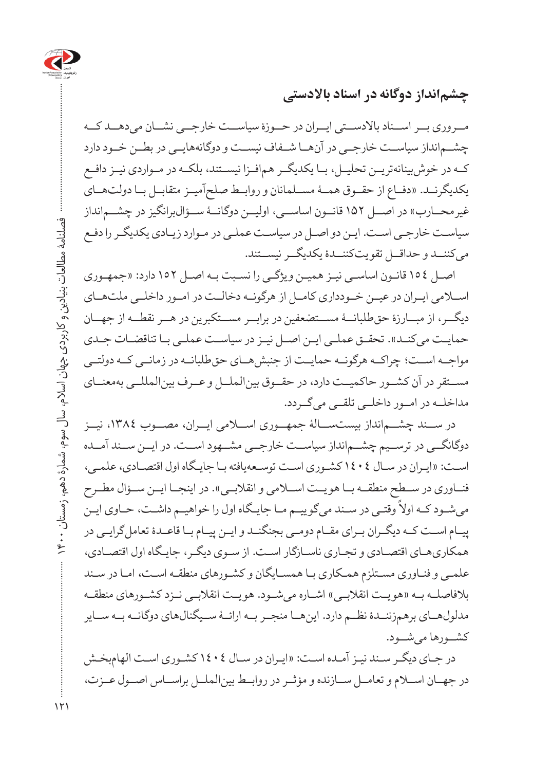

**چشمانداز دوگانه در اسناد باالدستی**

مــروری بــر اســناد باالدســتی ایــران در حــوزۀ سیاســت خارجــی نشــان میدهــد کــه چشــمانداز سیاســت خارجــی در آنهــا شــفاف نیســت و دوگانههایــی در بطــن خــود دارد کــه در خوشبینانهتریــن تحلیــل، بــا یکدیگــر همافــزا نیســتند، بلکــه در مــواردی نیــز دافــع یکدیگرنــد. »دفــاع از حقــوق همــۀ مســلمانان و روابــط صلحآمیــز متقابــل بــا دولتهــای غیر محــارب» در اصـــل ۱۵۲ قانــون اساســـی، اولیــن دوگانــۀ ســؤال۱برانگیز در چشـــمانداز سیاسـت خارجـی اسـت. ایـن دو اصـل در سیاسـت عملـی در مـوارد زیـادی یکدیگـر را دفـع میکننــد و حداقــل تقویتکننــدۀ یکدیگــر نیســتند.

اصـل 154 قانـون اساسـی نیـز همیـن ویژگـی را نسـبت بـه اصـل 152 دارد: »جمهـوری اســامی ایــران در عیــن خــودداری کامــل از هرگونــه دخالــت در امــور داخلــی ملتهــای دیگــر، از مبــارزۀ حقطلبانــۀ مســتضعفین در برابــر مســتکبرین در هــر نقطــه از جهــان حمایـت می کنـد». تحقـق عملـی ایـن اصـل نیـز در سیاسـت عملـی بـا تناقضـات جـدی مواجــه اســت؛ چراکــه هرگونــه حمایــت از جنبشهــای حقطلبانــه در زمانــی کــه دولتــی مســتقر در آن کشــور حاکمیــت دارد، در حقــوق بینالملــل و عــرف بینالمللــی بهمعنــای مداخلــه در امــور داخلــی تلقــی میگــردد.

در ســند چشــمانداز بیستســالۀ جمهــوری اســامی ایــران، مصــوب ،1384 نیــز دوگانگــی در ترســیم چشــمانداز سیاســت خارجــی مشــهود اســت. در ایــن ســند آمــده اسـت: »ایـران در سـال 1404 کشـوری اسـت توسـعهیافته بـا جایـگاه اول اقتصـادی، علمـی، فنــاوری در ســطح منطقــه بــا هویــت اســلامی و انقلابــی». در اینجــا ایــن ســؤال مطــرح ً وقتـی در سـند میگوییـم مـا جایـگاه اول را خواهیـم داشـت، حـاوی ایـن میشـود کـه اوال پیـام اسـت کـه دیگـران بـرای مقـام دومـی بجنگنـد و ایـن پیـام بـا قاعـدۀ تعاملگرایـی در همکاریهـای اقتصـادی و تجـاری ناسـازگار اسـت. از سـوی دیگـر، جایـگاه اول اقتصـادی، علمـی و فنـاوری مسـتلزم همـکاری بـا همسـایگان و کشـورهای منطقـه اسـت، امـا در سـند بالفاصلــه بــه »هویــت انقالبــی« اشــاره میشــود. هویــت انقالبــی نــزد کشــورهای منطقــه مدلولهــای برهمزننــدۀ نظــم دارد. اینهــا منجــر بــه ارائــۀ ســیگنالهای دوگانــه بــه ســایر کشــورها میشــود.

در جـای دیگـر سـند نیـز آمـده اسـت: »ایـران در سـال 1404 کشـوری اسـت الهامبخـش در جهــان اســام و تعامــل ســازنده و مؤثــر در روابــط بینالملــل براســاس اصــول عــزت،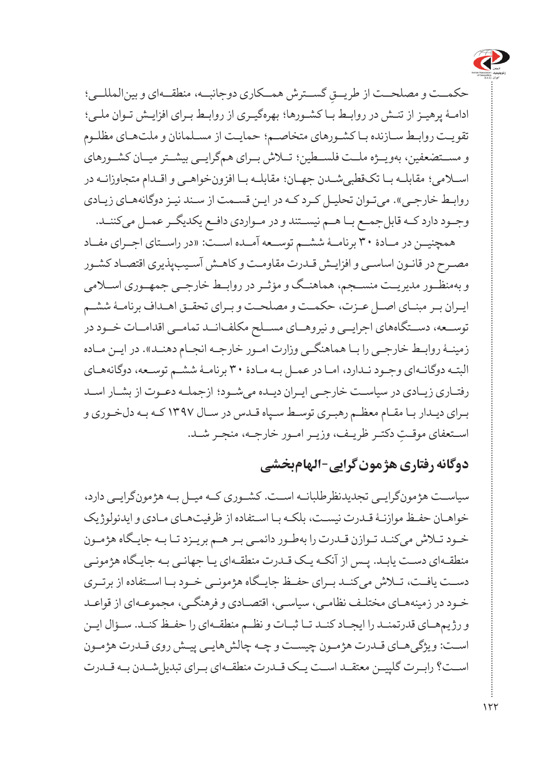

حکمــت و مصلحــت از طريــقِ گســترش همــکاري دوجانبــه، منطقــهاي و بينالمللــي؛<br>-ادامـۀ پرهیـز از تنـش در روابـط بـا کشـورها؛ بهرهگیـری از روابـط بـرای افزایـش تـوان ملـی؛ تقویـت روابـط سـازنده بـا کشـورهای متخاصـم؛ حمایـت از مسـلمانان و ملتهـای مظلـوم و مســتضعفین، بهویــژه ملــت فلســطین؛ تــاش بــرای همگرایــی بیشــتر میــان کشــورهای اسـامی؛ مقابلـه بـا تکقطبیشـدن جهـان؛ مقابلـه بـا افزونخواهـی و اقـدام متجاوزانـه در روابـط خارجـی«. میتـوان تحلیـل کـرد کـه در ایـن قسـمت از سـند نیـز دوگانههـای زیـادی وجــود دارد کــه قابلجمــع بــا هــم نیســتند و در مــواردی دافــع یکدیگــر عمــل میکننــد.

همچنیــن در مــادۀ 30 برنامــۀ ششــم توســعه آمــده اســت: »در راســتای اجــرای مفــاد مصـرح در قانـون اساسـی و افزایـش قـدرت مقاومـت و کاهـش آسـیبپذیری اقتصـاد کشـور و بهمنظــور مدیریــت منســجم، هماهنــگ و مؤثــر در روابــط خارجــی جمهــوری اســامی ایـران بـر مبنـای اصـل عـزت، حکمـت و مصلحـت و بـرای تحقـق اهـداف برنامـۀ ششـم توســعه، دســتگاههای اجرایــی و نیروهــای مســلح مکلفانــد تمامــی اقدامــات خــود در زمینـۀ روابـط خارجـی را بـا هماهنگـی وزارت امـور خارجـه انجـام دهنـد«. در ایـن مـاده البتـه دوگانـهای وجـود نـدارد، امـا در عمـل بـه مـادۀ 30 برنامـۀ ششـم توسـعه، دوگانههـای رفتـاری زیـادی در سیاسـت خارجـی ایـران دیـده میشـود؛ ازجملـه دعـوت از بشـار اسـد بـرای دیـدار بـا مقـام معظـم رهبـری توسـط سـپاه قـدس در سـال 1397 کـه بـه دلخـوری و ِ اسـتعفای موقـت دکتـر ظریـف، وزیـر امـور خارجـه، منجـر شـد.

### **دوگانه رفتاری هژمونگرایی-الهامبخشی**

سیاســت هژمونگرایــی تجدیدنظرطلبانــه اســت. کشــوری کــه میــل بــه هژمونگرایــی دارد، خواهـان حفـظ موازنـۀ قـدرت نیسـت، بلکـه بـا اسـتفاده از ظرفیتهـای مـادی و ایدئولوژیک خـود تـاش میکنـد تـوازن قـدرت را بهطـور دائمـی بـر هـم بریـزد تـا بـه جایـگاه هژمـون منطقـهای دسـت یابـد. پـس از آنکـه یـک قـدرت منطقـهای یـا جهانـی بـه جایـگاه هژمونـی دســت یافــت، تــاش میکنــد بــرای حفــظ جایــگاه هژمونــی خــود بــا اســتفاده از برتــری خـود در زمینههـای مختلـف نظامـی، سیاسـی، اقتصـادی و فرهنگـی، مجموعـهای از قواعـد و رژیمهـای قدرتمنـد را ایجـاد کنـد تـا ثبـات و نظـم منطقـهای را حفـظ کنـد. سـؤال ایـن اسـت: ویژگیهـای قـدرت هژمـون چیسـت و چـه چالشهایـی پیـش روی قـدرت هژمـون اســت؟ رابــرت گلپیــن معتقــد اســت یــک قــدرت منطقــهای بــرای تبدیلشــدن بــه قــدرت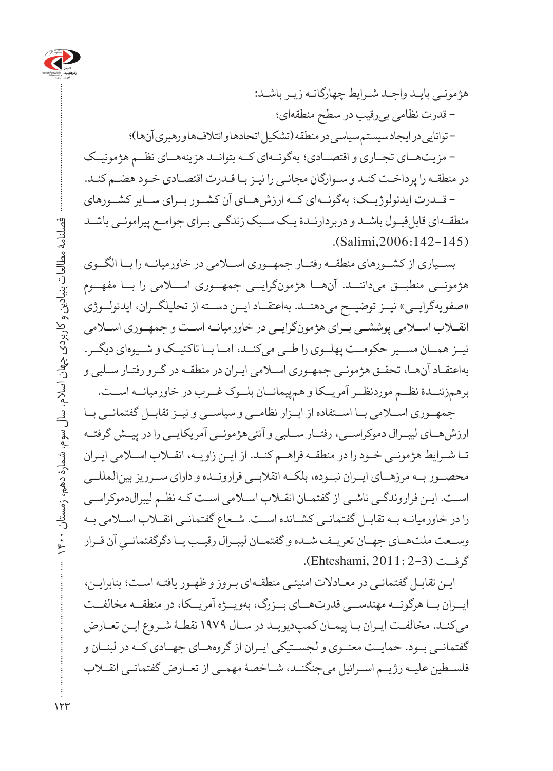

هژمونـی بایـد واجـد شـرایط چهارگانـه زیـر باشـد: - قدرت نظامی بیرقیب در سطح منطقهای؛ - توانایی در ایجاد سیستم سیاسی در منطقه )تشکیل اتحادها و ائتالفها و رهبری آنها(؛ - مزیتهــای تجــاری و اقتصــادی؛ بهگونــهای کــه بتوانــد هزینههــای نظــم هژمونیــک در منطقـه را پرداخـت کنـد و سـوارگان مجانـی را نیـز بـا قـدرت اقتصـادی خـود هضـم کنـد. - قــدرت ایدئولوژیــک؛ بهگونــهای کــه ارزشهــای آن کشــور بــرای ســایر کشــورهای

منطقـهای قابل قبـول باشـد و دربردارنـدۀ یـک سـبک زندگـی بـرای جوامـع پیرامونـی باشـد  $\ldots$ (Salimi, 2006: 142-145)

بســیاری از کشــورهای منطقــه رفتــار جمهــوری اســامی در خاورمیانــه را بــا الگــوی هژمونــی منطبــق میداننــد. آنهــا هژمونگرایــی جمهــوری اســامی را بــا مفهــوم «صفویهگرایــی» نیــز توضیــح می دهنــد. بهاعتقــاد ایــن دســته از تحلیلگــران، ایدئولــوژی انقــاب اســامی پوششــی بــرای هژمونگرایــی در خاورمیانــه اســت و جمهــوری اســامی نیــز همــان مســیر حکومــت پهلــوی را طــی میکنــد، امــا بــا تاکتیــک و شــیوهای دیگــر. بهاعتقـاد آنهـا، تحقـق هژمونـی جمهـوری اسـامی ایـران در منطقـه در گـرو رفتـار سـلبی و برهمزننــدۀ نظــم موردنظــر آمریــکا و همپیمانــان بلــوک غــرب در خاورمیانــه اســت.

جمهــوری اســامی بــا اســتفاده از ابــزار نظامــی و سیاســی و نیــز تقابــل گفتمانــی بــا ارزشهــای لیبــرال دموکراســی، رفتــار ســلبی و آنتیهژمونــی آمریکایــی را در پیــش گرفتــه تـا شـرایط هژمونـی خـود را در منطقـه فراهـم کنـد. از ایـن زاویـه، انقـاب اسـامی ایـران محصــور بــه مرزهــای ایــران نبــوده، بلکــه انقالبــی فرارونــده و دارای ســرریز بینالمللــی اسـت. ایـن فراروندگـی ناشـی از گفتمـان انقـاب اسـامی اسـت کـه نظـم لیبرالدموکراسـی را در خاورمیانـه بـه تقابـل گفتمانـی کشـانده اسـت. شـعاع گفتمانـی انقـاب اسـامی بـه وســعت ملت هــای جهــان تعریــف شــده و گفتمــان لیبــرال رقیــب یــا دگرگفتمانــیِ آن قــرار<br>م گرفــت )2-3 2011: ,Ehteshami).

ایـن تقابـل گفتمانـی در معـادالت امنیتـی منطقـهای بـروز و ظهـور یافتـه اسـت؛ بنابرایـن، ایــران بــا هرگونــه مهندســی قدرتهــای بــزرگ، بهویــژه آمریــکا، در منطقــه مخالفــت میکنـد. مخالفـت ایـران بـا پیمـان کمپدیویـد در سـال 1979 نقطـۀ شـروع ایـن تعـارض گفتمانــی بــود. حمایــت معنــوی و لجســتیکی ایــران از گروههــای جهــادی کــه در لبنــان و فلســطین علیــه رژیــم اســرائیل میجنگنــد، شــاخصۀ مهمــی از تعــارض گفتمانــی انقــاب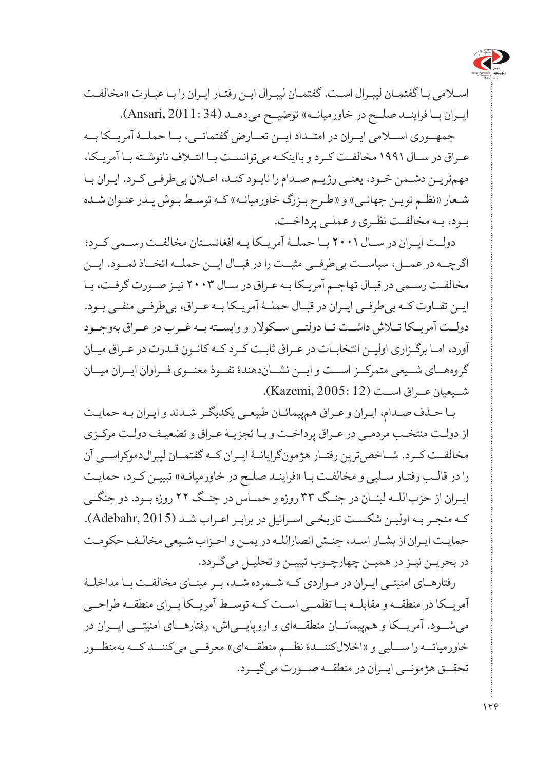

اسـامی بـا گفتمـان لیبـرال اسـت. گفتمـان لیبـرال ایـن رفتـار ایـران را بـا عبـارت »مخالفـت ایــران بـا فراینــد صلــح در خاورمیانــه» توضیــح می دهــد (11:34.Ansari, 2011).

جمهــوری اســامی ایــران در امتــداد ایــن تعــارض گفتمانــی، بــا حملــۀ آمریــکا بــه عـراق در سـال 1991 مخالفـت کـرد و بااینکـه میتوانسـت بـا ائتـاف نانوشـته بـا آمریـکا، مهمتریـن دشـمن خـود، یعنـی رژیـم صـدام را نابـود کنـد، اعـان بیطرفـی کـرد. ایـران بـا شـعار »نظـم نویـن جهانـی« و »طـرح بـزرگ خاورمیانـه« کـه توسـط بـوش پـدر عنـوان شـده بـود، بـه مخالفـت نظـری و عملـی پرداخـت.

دولــت ایــران در ســال 2001 بــا حملــۀ آمریــکا بــه افغانســتان مخالفــت رســمی کــرد؛ اگرچــه در عمــل، سیاســت بیطرفــی مثبــت را در قبــال ایــن حملــه اتخــاذ نمــود. ایــن مخالفـت رسـمی در قبـال تهاجـم آمریـکا بـه عـراق در سـال 2003 نیـز صـورت گرفـت، بـا ایــن تفــاوت کــه بیطرفــی ایــران در قبــال حملــۀ آمریــکا بــه عــراق، بیطرفــی منفــی بــود. دولــت آمریــکا تــاش داشــت تــا دولتــی ســکوالر و وابســته بــه غــرب در عــراق بهوجــود آورد، امـا برگـزاری اولیـن انتخابـات در عـراق ثابـت کـرد کـه کانـون قـدرت در عـراق میـان گروههــای شــیعی متمرکــز اســت و ایــن نشــاندهندۀ نفــوذ معنــوی فــراوان ایــران میــان شــیعیان عــراق اســت )12 2005: ,Kazemi).

بـا حـذف صـدام، ایـران و عـراق همپیمانـان طبیعـی یکدیگـر شـدند و ایـران بـه حمایـت از دولـت منتخـب مردمـی در عـراق پرداخـت و بـا تجزیـۀ عـراق و تضعیـف دولـت مرکـزی مخالفــت کــرد. شــاخصترین رفتــار هژمونگرایانــۀ ایــران کــه گفتمــان لیبرالدموکراســی آن را در قالـب رفتـار سـلبي و مخالفـت بـا «فراینـد صلـح در خاورمیانـه» تبییـن کـرد، حمایـت ایــران از حزباللــه لبنــان در جنــگ 33 روزه و حمــاس در جنــگ 22 روزه بــود. دو جنگــی کـه منجـر بـه اولیـن شکسـت تاریخـی اسـرائیل در برابـر اعـراب شـد )2015 ,Adebahr). حمایـت ایـران از بشـار اسـد، جنـش انصاراللـه در یمـن و احـزاب شـیعی مخالـف حکومـت در بحریـن نیـز در همیـن چهارچـوب تبییـن و تحلیـل میگـردد.

رفتارهــای امنیتــی ایــران در مــواردی کــه شــمرده شــد، بــر مبنــای مخالفــت بــا مداخلــۀ آمریــکا در منطقــه و مقابلــه بــا نظمــی اســت کــه توســط آمریــکا بــرای منطقــه طراحــی میشــود. آمریــکا و همپیمانــان منطقــهای و اروپایــیاش، رفتارهــای امنیتــی ایــران در خاورمیانــه را ســلبی و »اخاللکننــدۀ نظــم منطقــهای« معرفــی میکننــد کــه بهمنظــور تحقــق هژمونــی ایــران در منطقــه صــورت میگیــرد.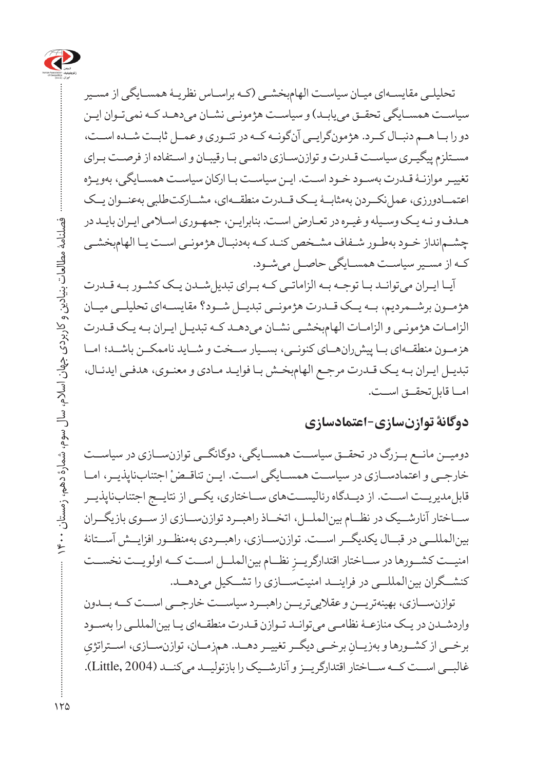

تحلیلـی مقایسـهای میـان سیاسـت الهامبخشـی )کـه براسـاس نظریـۀ همسـایگی از مسـیر سیاسـت همسـایگی تحقـق مییابـد) و سیاسـت هژمونـی نشـان میدهـد کـه نمیتـوان ایـن دو را بــا هــم دنبــال کــرد. هژمونگرایــی آنگونــه کــه در تئــوری و عمــل ثابــت شــده اســت، مسـتلزم پیگیـری سیاسـت قـدرت و توازنسـازی دائمـی بـا رقیبـان و اسـتفاده از فرصـت بـرای تغییـر موازنـۀ قـدرت بهسـود خـود اسـت. ایـن سیاسـت بـا ارکان سیاسـت همسـایگی، بهویـژه اعتمــادورزی، عمل نکــردن بهمثابــۀ یــک قــدرت منطقـــهای، مشــارکتطلبی بهعنــوان یــک هـدف و نـه یـک وسـیله و غیـره در تعـارض اسـت. بنابرایـن، جمهـوری اسـامی ایـران بایـد در چشـمانداز خـود بهطـور شـفاف مشـخص کنـد کـه بهدنبـال هژمونـی اسـت یـا الهامبخشـی کـه از مسـیر سیاسـت همسـایگی حاصـل میشـود.

آیـا ایـران میتوانـد بـا توجـه بـه الزاماتـی کـه بـرای تبدیلشـدن یـک کشـور بـه قـدرت هژمــون برشــمردیم، بــه یــک قــدرت هژمونــی تبدیــل شــود؟ مقایســهای تحلیلــی میــان الزامـات هژمونـی و الزامـات الهامبخشـی نشـان میدهـد کـه تبدیـل ایـران بـه یـک قـدرت هزمــون منطقــهای بــا پیشرانهــای کنونــی، بســیار ســخت و شــاید ناممکــن باشــد؛ امــا تبدیـل ایـران بـه یـک قـدرت مرجـع الهامبخـش بـا فوایـد مـادی و معنـوی، هدفـی ایدئـال، امــا قابل تحقــق اســت.

#### **دوگانۀ توازنسازی-اعتمادسازی**

دومیــن مانــع بــزرگ در تحقــق سیاســت همســایگی، دوگانگــی توازنســازی در سیاســت خارجــی و اعتمادســازی در سیاســت همســایگی اســت. ایــن تناقــض اجتنابناپذیــر، امــا قابل مدیریــت اســت. از دیــدگاه رئالیســتهای ســاختاری، یکــی از نتایــج اجتنابناپذیــر ســاختار آنارشــیک در نظــام بینالملــل، اتخــاذ راهبــرد توازنســازی از ســوی بازیگــران بینالمللــی در قبــال یکدیگــر اســت. توازنســازی، راهبــردی بهمنظــور افزایــش آســتانۀ ِ نظــام بینالملــل اســت کــه اولویــت نخســت امنیــت کشــورها در ســاختار اقتدارگریــز کنشــگران بینالمللــی در فراینــد امنیتســازی را تشــکیل میدهــد.

توازنســازی، بهینهتریــن و عقالییتریــن راهبــرد سیاســت خارجــی اســت کــه بــدون واردشـدن در یـک منازعـۀ نظامـی میتوانـد تـوازن قـدرت منطقـهای یـا بینالمللـی را بهسـود ِ برخــی از کشــورها و بهزیــانِ برخــی دیگــر تغییــر دهــد. همزمــان، توازنســازی، اســتراتژي غالبــی اســت کــه ســاختار اقتدارگریــز و آنارشــیک را بازتولیــد میکنــد )2004 ,Little).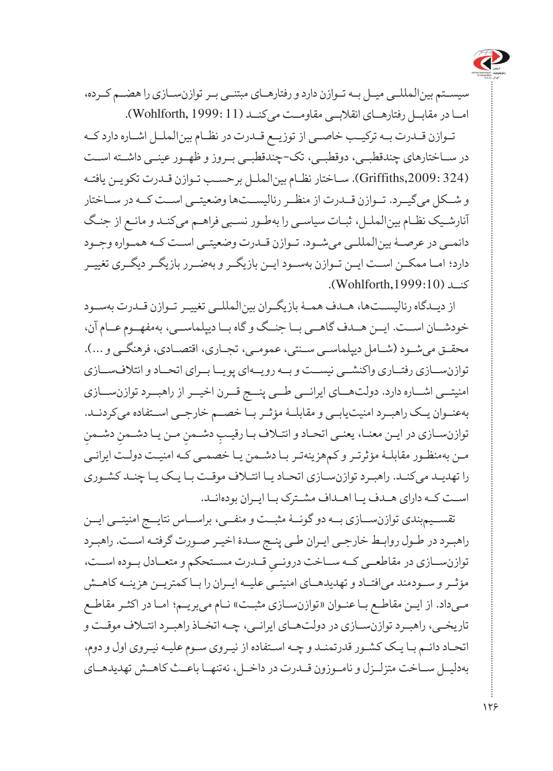

سیســتم بینالمللــی میــل بــه تــوازن دارد و رفتارهــای مبتنــی بــر توازنســازی را هضــم کــرده، امــا در مقابــل رفتارهــای انقالبــی مقاومــت میکنــد )11 1999: ,Wohlforth).

تــوازن قــدرت بــه ترکیــب خاصــی از توزیــع قــدرت در نظــام بینالملــل اشــاره دارد کــه در ســاختارهای چندقطبــی، دوقطبــی، تک-چندقطبــی بــروز و ظهــور عینــی داشــته اســت )324 ,2009:Griffiths). سـاختار نظـام بینالملـل برحسـب تـوازن قـدرت تکویـن یافتـه و شــکل میگیــرد. تــوازن قــدرت از منظــر رئالیســتها وضعیتــی اســت کــه در ســاختار آنارشـیک نظـام بینالملـل، ثبـات سیاسـی را بهطـور نسـبی فراهـم میکنـد و مانـع از جنـگ دائمــی در عرصــۀ بینالمللــی میشــود. تــوازن قــدرت وضعیتــی اســت کــه همــواره وجــود دارد؛ امــا ممکــن اســت ایــن تــوازن بهســود ایــن بازیگــر و بهضــرر بازیگــر دیگــری تغییــر کنــد ),1999:10Wohlforth).

از دیــدگاه رئالیســتها، هــدف همــۀ بازیگــران بینالمللــی تغییــر تــوازن قــدرت بهســود خودشــان اســت. ایــن هــدف گاهــی بــا جنــگ و گاه بــا دیپلماســی، بهمفهــوم عــام آن، محقــق می شــود (شــامل دیپلماســی سـنتی، عمومــی، تجــاری، اقتصــادی، فرهنگــی و ...). توازنســازی رفتــاری واکنشــی نیســت و بــه رویــهای پویــا بــرای اتحــاد و ائتالفســازی امنیتــی اشــاره دارد. دولتهــای ایرانــی طــی پنــج قــرن اخیــر از راهبــرد توازنســازی بهعنــوان یــک راهبــرد امنیتیابــی و مقابلــۀ مؤثــر بــا خصــم خارجــی اســتفاده میکردنــد. ِ توازن سـازی در ايـن معنــا، يعنــي اتحــاد و ائتــلاف بــا رقيـــبِ دشــمنِ مــن يــا دشــمنِ دشــمنِ<br>. مـن بهمنظـور مقابلـۀ مؤثرتـر و کمهزینهتـر بـا دشـمن یـا خصمـی کـه امنیـت دولـت ایرانـی را تهدیـد میکنـد. راهبـرد توازنسـازی اتحـاد یـا ائتـاف موقـت بـا یـک یـا چنـد کشـوری اســت کــه دارای هــدف یــا اهــداف مشــترک بــا ایــران بودهانــد.

تقســیمبندی توازنســازی بــه دو گونــۀ مثبــت و منفــی، براســاس نتایــج امنیتــی ایــن راهبـرد در طـول روابـط خارجـی ایـران طـی پنـج سـدۀ اخیـر صـورت گرفتـه اسـت. راهبـرد توازن ســازی در مقاطعــی کــه ســاخت درونــ*ي قــد*رت مســتحکم و متعــادل بــوده اســت،<br>. مؤثــر و ســودمند میافتــاد و تهدیدهــای امنیتــی علیــه ایــران را بــا کمتریــن هزینــه کاهــش مـیداد. از ایـن مقاطـع بـا عنـوان »توازنسـازی مثبـت« نـام میبریـم؛ امـا در اکثـر مقاطـع تاریخــی، راهبــرد توازنســازی در دولتهــای ایرانــی، چــه اتخــاذ راهبــرد ائتــاف موقــت و اتحـاد دائـم بـا یـک کشـور قدرتمنـد و چـه اسـتفاده از نیـروی سـوم علیـه نیـروی اول و دوم، بهدلیــل ســاخت متزلــزل و نامــوزون قــدرت در داخــل، نهتنهــا باعــث کاهــش تهدیدهــای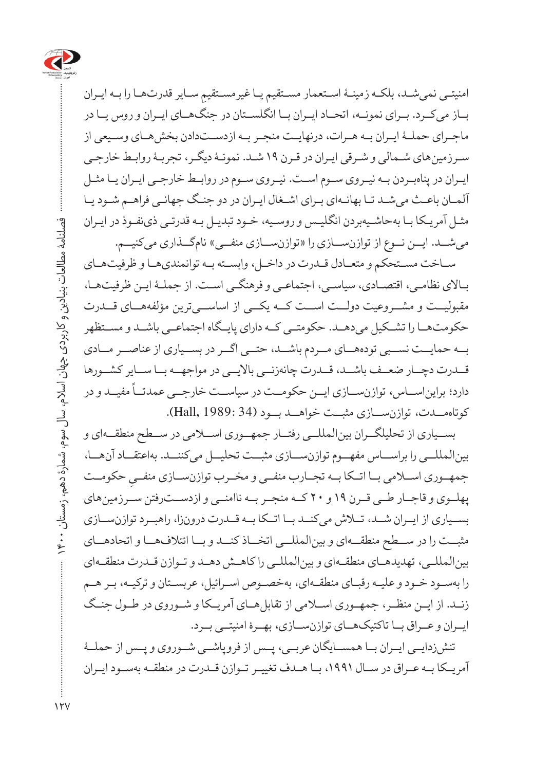

امنیتـی نمیشـد، بلکـه زمینـۀ اسـتعمار مسـتقیم یـا غیرمسـتقیمِ سـایر قدرتهـا را بـه ایـران<br>. بــاز میکــرد. بــرای نمونــه، اتحــاد ایــران بــا انگلســتان در جنگهــای ایــران و روس یــا در ماجـرای حملـۀ ایـران بـه هـرات، درنهایـت منجـر بـه ازدسـتدادن بخشهـای وسـیعی از سـرزمینهای شـمالی و شـرقی ایـران در قـرن 19 شـد. نمونـۀ دیگـر، تجربـۀ روابـط خارجـی ایـران در پناهبـردن بـه نیـروی سـوم اسـت. نیـروی سـوم در روابـط خارجـی ایـران یـا مثـل آلمـان باعـث میشـد تـا بهانـهای بـرای اشـغال ایـران در دو جنـگ جهانـی فراهـم شـود یـا مثـل آمریـکا بـا بهحاشـیهبردن انگلیـس و روسـیه، خـود تبدیـل بـه قدرتـی ذینفـوذ در ایـران می شــد. ایــن نــوع از توازنســازی را «توازنســازی منفــی» نامگــذاری می کنیــم.

ســاخت مســتحکم و متعــادل قــدرت در داخــل، وابســته بــه توانمندیهــا و ظرفیتهــای بـاالی نظامـی، اقتصـادی، سیاسـی، اجتماعـی و فرهنگـی اسـت. از جملـۀ ایـن ظرفیتهـا، مقبولیــت و مشــروعیت دولــت اســت کــه یکــی از اساســیترین مؤلفههــای قــدرت حکومتهــا را تشــکیل میدهــد. حکومتــی کــه دارای پایــگاه اجتماعــی باشــد و مســتظهر بــه حمایــت نســبی تودههــای مــردم باشــد، حتــی اگــر در بســیاری از عناصــر مــادی قــدرت دچــار ضعــف باشــد، قــدرت چانهزنــی باالیــی در مواجهــه بــا ســایر کشــورها ً مفیــد و در دارد؛ برایناســاس، توازنســازی ایــن حکومــت در سیاســت خارجــی عمدتــا کوتاهمــدت، توازنســازی مثبــت خواهــد بــود )34 1989: ,Hall).

بســیاری از تحلیلگــران بینالمللــی رفتــار جمهــوری اســامی در ســطح منطقــهای و بینالمللــی را براســاس مفهــوم توازنســازی مثبــت تحلیــل میکننــد. بهاعتقــاد آنهــا، جمهــوری اســـلامی بــا اتــکا بــه تجــارب منفــی و مخــرب توازنســـازی منفــیِ حکومــت پهلــوی و قاجــار طــی قــرن 19 و 20 کــه منجــر بــه ناامنــی و ازدســترفتن ســرزمینهای بســیاری از ایــران شــد، تــاش میکنــد بــا اتــکا بــه قــدرت درونزا، راهبــرد توازنســازی مثبــت را در ســطح منطقــهای و بینالمللــی اتخــاذ کنــد و بــا ائتالفهــا و اتحادهــای بینالمللــی، تهدیدهــای منطقــهای و بینالمللــی را کاهــش دهــد و تــوازن قــدرت منطقــهای را بهسـود خـود و علیـه رقبـای منطقـهای، بهخصـوص اسـرائیل، عربسـتان و ترکیـه، بـر هـم زنــد. از ایــن منظــر، جمهــوری اســامی از تقابلهــای آمریــکا و شــوروی در طــول جنــگ ایــران و عــراق بــا تاکتیکهــای توازنســازی، بهــرۀ امنیتــی بــرد.

تنشزدایــی ایــران بــا همســایگان عربــی، پــس از فروپاشــی شــوروی و پــس از حملــۀ آمریــکا بــه عــراق در ســال ،1991 بــا هــدف تغییــر تــوازن قــدرت در منطقــه بهســود ایــران

 $15V$ 

فصلنامۀ مطالعات بنیادین و کاربردی جهان اسالم، سال سوم، شمارۀ دهم، زمستان 1400

فصلنامه مطالعات بنیادین و کاربردی جهان اسلام، سال سوم، شمارهٔ دهم، زمستان ۱۴۰۰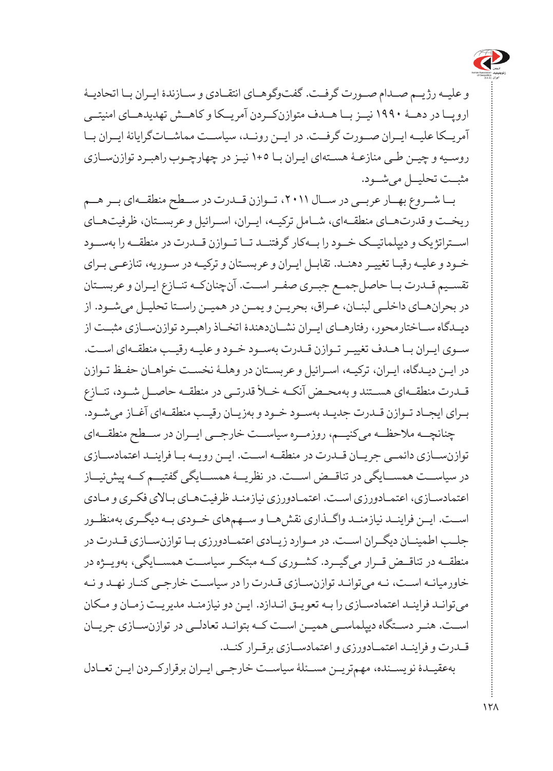

و علیــه رژیــم صــدام صــورت گرفــت. گفتوگوهــای انتقــادی و ســازندۀ ایــران بــا اتحادیــۀ اروپــا در دهــۀ 1990 نیــز بــا هــدف متوازنکــردن آمریــکا و کاهــش تهدیدهــای امنیتــی آمریــکا علیــه ایــران صــورت گرفــت. در ایــن رونــد، سیاســت مماشــاتگرایانۀ ایــران بــا روسـیه و چیـن طـی منازعـۀ هسـتهای ایـران بـا 1+5 نیـز در چهارچـوب راهبـرد توازنسـازی مثبــت تحلیــل میشــود.

بــا شــروع بهــار عربــی در ســال ،2011 تــوازن قــدرت در ســطح منطقــهای بــر هــم ریخــت و قدرتهــای منطقــهای، شــامل ترکیــه، ایــران، اســرائیل و عربســتان، ظرفیتهــای اســتراتژیک و دیپلماتیــک خــود را بــهکار گرفتنــد تــا تــوازن قــدرت در منطقــه را بهســود خـود و علیـه رقبـا تغییـر دهنـد. تقابـل ایـران و عربسـتان و ترکیـه در سـوریه، تنازعـی بـرای تقســیم قــدرت بــا حاصلجمــع جبــری صفــر اســت. آنچنانکــه تنــازع ایــران و عربســتان در بحرانهــای داخلــی لبنــان، عــراق، بحریــن و یمــن در همیــن راســتا تحلیــل میشــود. از دیــدگاه ســاختارمحور، رفتارهــای ایــران نشــاندهندۀ اتخــاذ راهبــرد توازنســازی مثبــت از سـوی ایـران بـا هـدف تغییـر تـوازن قـدرت بهسـود خــود و علیـه رقیـب منطقـهای اسـت. در ایـن دیـدگاه، ایـران، ترکیـه، اسـرائیل و عربسـتان در وهلـۀ نخسـت خواهـان حفـظ تـوازن قــدرت منطقــهای هســتند و بهمحــض آنکــه خــأ قدرتــی در منطقــه حاصــل شــود، تنــازع بـرای ایجـاد تـوازن قـدرت جدیـد بهسـود خـود و بهزیـان رقیـب منطقـهای آغـاز میشـود. چنانچــه مالحظــه میکنیــم، روزمــره سیاســت خارجــی ایــران در ســطح منطقــهای توازنســازی دائمــی جریــان قــدرت در منطقــه اســت. ایــن رویــه بــا فراینــد اعتمادســازی در سیاســت همســایگی در تناقــض اســت. در نظریــۀ همســایگی گفتیــم کــه پیشنیــاز اعتمادسـازی، اعتمـادورزی اسـت. اعتمـادورزی نیازمنـد ظرفیتهـای بـاالی فکـری و مـادی اســت. ایــن فراینــد نیازمنــد واگــذاری نقشهــا و ســهمهای خــودی بــه دیگــری بهمنظــور جلــب اطمینــان دیگــران اســت. در مــوارد زیــادی اعتمــادورزی بــا توازنســازی قــدرت در منطقــه در تناقــض قــرار میگیــرد. کشــوری کــه مبتکــر سیاســت همســایگی، بهویــژه در خاورمیانـه اسـت، نـه میتوانـد توازنسـازی قـدرت را در سیاسـت خارجـی کنـار نهـد و نـه

میتوانـد فراینـد اعتمادسـازی را بـه تعویـق انـدازد. ایـن دو نیازمنـد مدیریـت زمـان و مـکان اســت. هنــر دســتگاه دیپلماســی همیــن اســت کــه بتوانــد تعادلــی در توازنســازی جریــان قــدرت و فراینــد اعتمــادورزی و اعتمادســازی برقــرار کنــد. بهعقیــدۀ نویســنده، مهمتریــن مســئلۀ سیاســت خارجــی ایــران برقرارکــردن ایــن تعــادل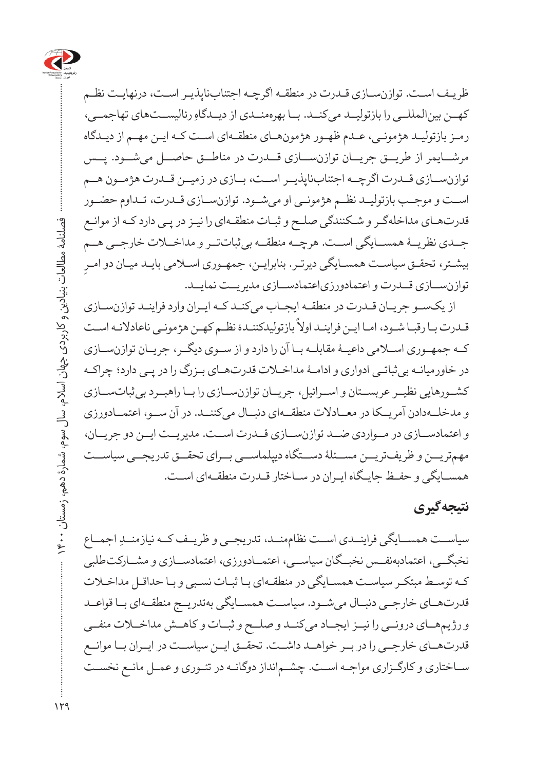

ظریـف اسـت. توازنسـازی قـدرت در منطقـه اگرچـه اجتنابناپذیـر اسـت، درنهایـت نظـم کهــن بینالمللــي را بازتولیــد میکنــد. بــا بهرهمنــدی از دیــدگاهِ رئالیســتهای تهاجمــی، رمـز بازتولیـد هژمونـی، عـدم ظهـور هژمونهـای منطقـهای اسـت کـه ایـن مهـم از دیـدگاه مرشــایمر از طریــق جریــان توازنســازی قــدرت در مناطــق حاصــل میشــود. پــس توازنســازی قــدرت اگرچــه اجتنابناپذیــر اســت، بــازی در زمیــن قــدرت هژمــون هــم اســت و موجــب بازتولیــد نظــم هژمونــی او میشــود. توازنســازی قــدرت، تــداوم حضــور قدرتهـای مداخلهگـر و شـکنندگی صلـح و ثبـات منطقـهای را نیـز در پـی دارد کـه از موانـع جــدی نظریــۀ همســایگی اســت. هرچــه منطقــه بیثباتتــر و مداخــات خارجــی هــم ِ بیشـتر، تحقـق سیاسـت همسـایگی دیرتـر. بنابرایـن، جمهـوری اسـامی بایـد میـان دو امـر توازنســازی قــدرت و اعتمادورزیاعتمادســازی مدیریــت نمایــد.

از یکسـو جریـان قـدرت در منطقـه ایجـاب میکنـد کـه ایـران وارد فراینـد توازنسـازی قت<br>قـدرت بـا رقبـا شـود، امـا ايـن فراينـد اولاً بازتوليدكننـدۀ نظـم كهـن هژمونـی ناعادلانـه اسـت کــه جمهــوری اســامی داعیــۀ مقابلــه بــا آن را دارد و از ســوی دیگــر، جریــان توازنســازی در خاورمیانـه بیثباتـی ادواری و ادامـۀ مداخـات قدرتهـای بـزرگ را در پـی دارد؛ چراکـه کشــورهایی نظیــر عربســتان و اســرائیل، جریــان توازنســازی را بــا راهبــرد بیثباتســازی و مدخلــهدادن آمریــکا در معــادالت منطقــهای دنبــال میکننــد. در آن ســو، اعتمــادورزی و اعتمادســازی در مــواردی ضــد توازنســازی قــدرت اســت. مدیریــت ایــن دو جریــان، مهمتریــن و ظریفتریــن مســئلۀ دســتگاه دیپلماســی بــرای تحقــق تدریجــی سیاســت همسـایگی و حفـظ جایـگاه ایـران در سـاختار قـدرت منطقـهای اسـت.

## **نتیجهگیری**

سیاســت همســایگی فراینــدی اســت نظاممنــد، تدریجــی و ظریــف کــه نیازمنــدِ اجمــاع نخبگــی، اعتمادبهنفــس نخبــگان سیاســی، اعتمــادورزی، اعتمادســازی و مشــارکتطلبی کـه توسـط مبتکـر سیاسـت همسـایگی در منطقـهای بـا ثبـات نسـبی و بـا حداقـل مداخـات قدرتهــای خارجــی دنبــال میشــود. سیاســت همســایگی بهتدریــج منطقــهای بــا قواعــد و رژیمهــای درونــی را نیــز ایجــاد میکنــد و صلــح و ثبــات و کاهــش مداخــات منفــی قدرتهــای خارجــی را در بــر خواهــد داشــت. تحقــق ایــن سیاســت در ایــران بــا موانــع سـاختاری و کارگـزاری مواجـه اسـت. چشـمانداز دوگانـه در تئـوری و عمـل مانـع نخسـت

 $119$ 

فصلنامۀ مطالعات بنیادین و کاربردی جهان اسالم، سال سوم، شمارۀ دهم، زمستان 1400

فصلنامه مطالعات بنیادین و کاربردی جهان اسلام، سال سوم، شمارهٔ دهم، زمستان ۴۰۰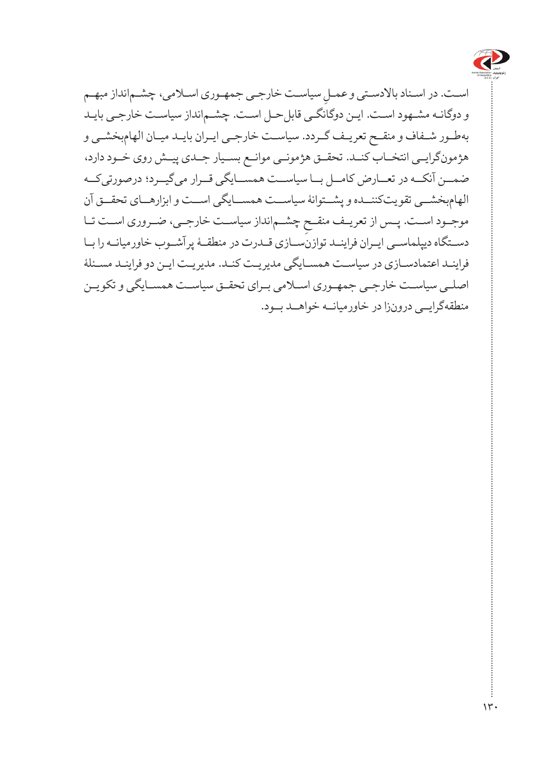

اسـت. در اسـناد بالادسـتی و عمـلِ سیاسـت خارجـی جمهـوری اســلامی، چشــمانداز مبهـم<br>پ و دوگانـه مشـهود اسـت. ایـن دوگانگـی قابلحـل اسـت. چشـمانداز سیاسـت خارجـی بایـد بهطـور شـفاف و منقـح تعریـف گـردد. سیاسـت خارجـی ایـران بایـد میـان الهامبخشـی و هژمونگرایــی انتخــاب کنــد. تحقــق هژمونــی موانــع بســیار جــدی پیــش روی خــود دارد، ضمــن آنکــه در تعــارض کامــل بــا سیاســت همســایگی قــرار میگیــرد؛ درصورتیکــه الهامبخشــی تقویتکننــده و پشــتوانۀ سیاســت همســایگی اســت و ابزارهــای تحقــق آن ِ چشــمانداز سیاســت خارجــی، ضــروری اســت تــا موجــود اســت. پــس از تعریــف منقــح دســتگاه دیپلماســی ایــران فراینــد توازنســازی قــدرت در منطقــۀ پرآشــوب خاورمیانــه را بــا فراینـد اعتمادسـازی در سیاسـت همسـایگی مدیریـت کنـد. مدیریـت ایـن دو فراینـد مسـئلۀ اصلـی سیاسـت خارجـی جمهـوری اسـامی بـرای تحقـق سیاسـت همسـایگی و تکویـن منطقهگرایــی درونزا در خاورمیانــه خواهــد بــود.